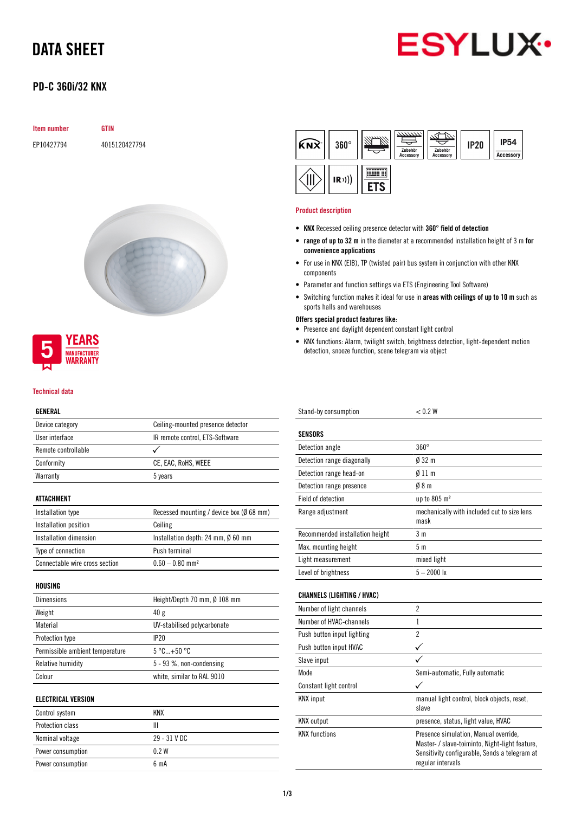# DATA SHEET



# PD-C 360i/32 KNX

| <b>Item number</b> | GTIN          |
|--------------------|---------------|
| EP10427794         | 4015120427794 |





#### Technical data

## GENERAL

| ucneral                         |                                              |  |  |
|---------------------------------|----------------------------------------------|--|--|
| Device category                 | Ceiling-mounted presence detector            |  |  |
| User interface                  | IR remote control, ETS-Software              |  |  |
| Remote controllable             |                                              |  |  |
| Conformity                      | CE, EAC, RoHS, WEEE                          |  |  |
| Warranty                        | 5 years                                      |  |  |
| ATTACHMENT                      |                                              |  |  |
| Installation type               | Recessed mounting / device box (Ø 68 mm)     |  |  |
| Installation position           | Ceiling                                      |  |  |
| Installation dimension          | Installation depth: 24 mm, $\emptyset$ 60 mm |  |  |
| Type of connection              | Push terminal                                |  |  |
| Connectable wire cross section  | $0.60 - 0.80$ mm <sup>2</sup>                |  |  |
| HOUSING                         |                                              |  |  |
| Dimensions                      | Height/Depth 70 mm, Ø 108 mm                 |  |  |
| Weight                          | 40 <sub>g</sub>                              |  |  |
| Material                        | UV-stabilised polycarbonate                  |  |  |
| Protection type                 | IP20                                         |  |  |
| Permissible ambient temperature | $5^{\circ}$ C+50 $^{\circ}$ C                |  |  |
| Relative humidity               | 5 - 93 %, non-condensing                     |  |  |
| Colour                          | white, similar to RAL 9010                   |  |  |
|                                 |                                              |  |  |

### ELECTRICAL VERSION

| Control system    | KNX              |
|-------------------|------------------|
| Protection class  | Ш                |
| Nominal voltage   | 29 - 31 V DC     |
| Power consumption | 0 2 W            |
| Power consumption | 6 <sub>m</sub> A |



#### Product description

- KNX Recessed ceiling presence detector with 360° field of detection
- range of up to 32 m in the diameter at a recommended installation height of 3 m for convenience applications
- For use in KNX (EIB), TP (twisted pair) bus system in conjunction with other KNX components
- Parameter and function settings via ETS (Engineering Tool Software)
- Switching function makes it ideal for use in areas with ceilings of up to 10 m such as sports halls and warehouses
- Offers special product features like:
- Presence and daylight dependent constant light control
- KNX functions: Alarm, twilight switch, brightness detection, light-dependent motion detection, snooze function, scene telegram via object

| Stand-by consumption            | < 0.2 W                                             |
|---------------------------------|-----------------------------------------------------|
| <b>SENSORS</b>                  |                                                     |
| Detection angle                 | $360^\circ$                                         |
| Detection range diagonally      | $\emptyset$ 32 m                                    |
| Detection range head-on         | $\emptyset$ 11 m                                    |
| Detection range presence        | 08 <sub>m</sub>                                     |
| Field of detection              | up to 805 m <sup>2</sup>                            |
| Range adjustment                | mechanically with included cut to size lens<br>mask |
| Recommended installation height | 3 <sub>m</sub>                                      |
| Max. mounting height            | 5 <sub>m</sub>                                      |
| Light measurement               | mixed light                                         |
| Level of brightness             | $5 - 2000$ lx                                       |

### CHANNELS (LIGHTING / HVAC)

| Number of light channels   | 2                                                                                                                                                             |
|----------------------------|---------------------------------------------------------------------------------------------------------------------------------------------------------------|
| Number of HVAC-channels    | 1                                                                                                                                                             |
| Push button input lighting | $\overline{2}$                                                                                                                                                |
| Push button input HVAC     |                                                                                                                                                               |
| Slave input                |                                                                                                                                                               |
| Mode                       | Semi-automatic, Fully automatic                                                                                                                               |
| Constant light control     |                                                                                                                                                               |
| <b>KNX</b> input           | manual light control, block objects, reset,<br>slave                                                                                                          |
| <b>KNX</b> output          | presence, status, light value, HVAC                                                                                                                           |
| <b>KNX</b> functions       | Presence simulation, Manual override,<br>Master- / slave-toiminto, Night-light feature,<br>Sensitivity configurable, Sends a telegram at<br>regular intervals |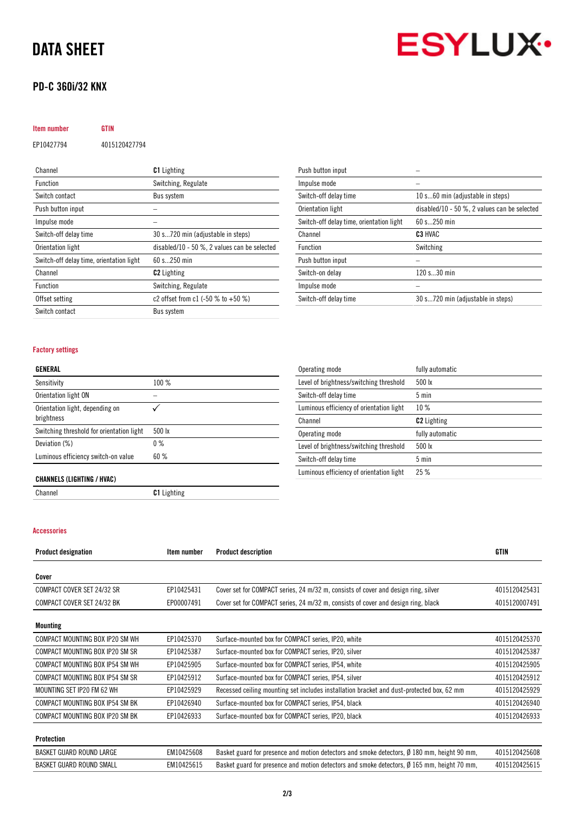# DATA SHEET

## PD-C 360i/32 KNX



| <b>Item number</b>                       | GTIN          |                                                  |
|------------------------------------------|---------------|--------------------------------------------------|
| EP10427794                               | 4015120427794 |                                                  |
| Channel                                  |               | <b>C1</b> Lighting                               |
| Function                                 |               | Switching, Regulate                              |
| Switch contact                           |               | <b>Bus system</b>                                |
| Push button input                        |               |                                                  |
| Impulse mode                             |               |                                                  |
| Switch-off delay time                    |               | 30 s720 min (adjustable in steps)                |
| Orientation light                        |               | disabled/10 - 50 $\%$ , 2 values can be selected |
| Switch-off delay time, orientation light |               | 60 s 250 min                                     |
| Channel                                  |               | <b>C2</b> Lighting                               |

Offset setting  $c2$  offset from c1 (-50 % to +50 %)

Function Switching, Regulate

Switch contact Bus system

| Push button input                                                     |                                   |  |  |
|-----------------------------------------------------------------------|-----------------------------------|--|--|
| Impulse mode                                                          |                                   |  |  |
| Switch-off delay time                                                 | 10 s60 min (adjustable in steps)  |  |  |
| disabled/10 - 50 $\%$ , 2 values can be selected<br>Orientation light |                                   |  |  |
| Switch-off delay time, orientation light                              | 60 s 250 min                      |  |  |
| Channel                                                               | C <sub>3</sub> HVAC               |  |  |
| <b>Function</b>                                                       | Switching                         |  |  |
| Push button input                                                     |                                   |  |  |
| Switch-on delay                                                       | 120 s30 min                       |  |  |
| Impulse mode                                                          |                                   |  |  |
| Switch-off delay time                                                 | 30 s720 min (adjustable in steps) |  |  |

### Factory settings

### GENERAL

| Sensitivity                                   | 100%             |
|-----------------------------------------------|------------------|
| Orientation light ON                          |                  |
| Orientation light, depending on<br>brightness |                  |
| Switching threshold for orientation light     | $500 \text{ lx}$ |
| Deviation (%)                                 | $0\%$            |
| Luminous efficiency switch-on value           | 60%              |

| Operating mode                           | fully automatic    |
|------------------------------------------|--------------------|
| Level of brightness/switching threshold  | $500 \text{ lx}$   |
| Switch-off delay time                    | $5 \text{ min}$    |
| Luminous efficiency of orientation light | $10\%$             |
| Channel                                  | <b>C2</b> Lighting |
| Operating mode                           | fully automatic    |
| Level of brightness/switching threshold  | $500 \text{ lx}$   |
| Switch-off delay time                    | $5 \text{ min}$    |
| Luminous efficiency of orientation light | 25%                |

### CHANNELS (LIGHTING / HVAC)

Channel C1 Lighting

### Accessories

| <b>Product designation</b>      | Item number | <b>Product description</b>                                                                            | <b>GTIN</b>   |
|---------------------------------|-------------|-------------------------------------------------------------------------------------------------------|---------------|
| Cover                           |             |                                                                                                       |               |
| COMPACT COVER SET 24/32 SR      | EP10425431  | Cover set for COMPACT series, 24 m/32 m, consists of cover and design ring, silver                    | 4015120425431 |
| COMPACT COVER SET 24/32 BK      | EP00007491  | Cover set for COMPACT series, 24 m/32 m, consists of cover and design ring, black                     | 4015120007491 |
| Mounting                        |             |                                                                                                       |               |
| COMPACT MOUNTING BOX IP20 SM WH | EP10425370  | Surface-mounted box for COMPACT series, IP20, white                                                   | 4015120425370 |
| COMPACT MOUNTING BOX IP20 SM SR | EP10425387  | Surface-mounted box for COMPACT series, IP20, silver                                                  | 4015120425387 |
| COMPACT MOUNTING BOX IP54 SM WH | EP10425905  | Surface-mounted box for COMPACT series, IP54, white                                                   | 4015120425905 |
| COMPACT MOUNTING BOX IP54 SM SR | EP10425912  | Surface-mounted box for COMPACT series, IP54, silver                                                  | 4015120425912 |
| MOUNTING SET IP20 FM 62 WH      | EP10425929  | Recessed ceiling mounting set includes installation bracket and dust-protected box, 62 mm             | 4015120425929 |
| COMPACT MOUNTING BOX IP54 SM BK | EP10426940  | Surface-mounted box for COMPACT series, IP54, black                                                   | 4015120426940 |
| COMPACT MOUNTING BOX IP20 SM BK | EP10426933  | Surface-mounted box for COMPACT series, IP20, black                                                   | 4015120426933 |
| Protection                      |             |                                                                                                       |               |
| BASKET GUARD ROUND LARGE        | EM10425608  | Basket guard for presence and motion detectors and smoke detectors, $\emptyset$ 180 mm, height 90 mm, | 4015120425608 |

BASKET GUARD ROUND SMALL EM10425615 Basket guard for presence and motion detectors and smoke detectors, Ø 165 mm, height 70 mm, 4015120425615